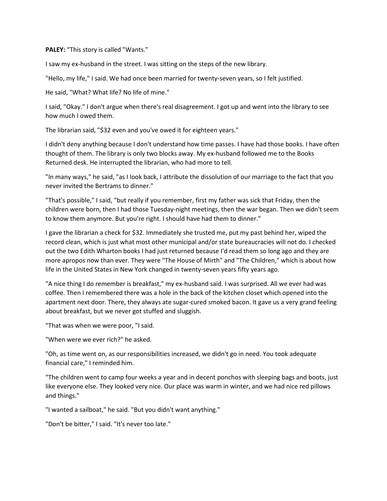**PALEY:** "This story is called "Wants."

I saw my ex-husband in the street. I was sitting on the steps of the new library.

"Hello, my life," I said. We had once been married for twenty-seven years, so I felt justified.

He said, "What? What life? No life of mine."

I said, "Okay." I don't argue when there's real disagreement. I got up and went into the library to see how much I owed them.

The librarian said, "\$32 even and you've owed it for eighteen years."

I didn't deny anything because I don't understand how time passes. I have had those books. I have often thought of them. The library is only two blocks away. My ex-husband followed me to the Books Returned desk. He interrupted the librarian, who had more to tell.

"In many ways," he said, "as I look back, I attribute the dissolution of our marriage to the fact that you never invited the Bertrams to dinner."

"That's possible," I said, "but really if you remember, first my father was sick that Friday, then the children were born, then I had those Tuesday-night meetings, then the war began. Then we didn't seem to know them anymore. But you're right. I should have had them to dinner."

I gave the librarian a check for \$32. Immediately she trusted me, put my past behind her, wiped the record clean, which is just what most other municipal and/or state bureaucracies will not do. I checked out the two Edith Wharton books I had just returned because I'd read them so long ago and they are more apropos now than ever. They were "The House of Mirth" and "The Children," which is about how life in the United States in New York changed in twenty-seven years fifty years ago.

"A nice thing I do remember is breakfast," my ex-husband said. I was surprised. All we ever had was coffee. Then I remembered there was a hole in the back of the kitchen closet which opened into the apartment next door. There, they always ate sugar-cured smoked bacon. It gave us a very grand feeling about breakfast, but we never got stuffed and sluggish.

"That was when we were poor, "I said.

"When were we ever rich?" he asked.

"Oh, as time went on, as our responsibilities increased, we didn't go in need. You took adequate financial care," I reminded him.

"The children went to camp four weeks a year and in decent ponchos with sleeping bags and boots, just like everyone else. They looked very nice. Our place was warm in winter, and we had nice red pillows and things."

"I wanted a sailboat," he said. "But you didn't want anything."

"Don't be bitter," I said. "It's never too late."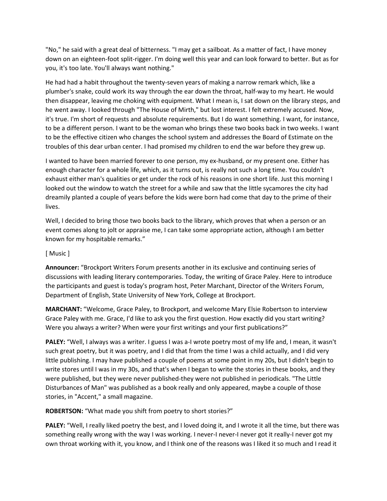"No," he said with a great deal of bitterness. "I may get a sailboat. As a matter of fact, I have money down on an eighteen-foot split-rigger. I'm doing well this year and can look forward to better. But as for you, it's too late. You'll always want nothing."

He had had a habit throughout the twenty-seven years of making a narrow remark which, like a plumber's snake, could work its way through the ear down the throat, half-way to my heart. He would then disappear, leaving me choking with equipment. What I mean is, I sat down on the library steps, and he went away. I looked through "The House of Mirth," but lost interest. I felt extremely accused. Now, it's true. I'm short of requests and absolute requirements. But I do want something. I want, for instance, to be a different person. I want to be the woman who brings these two books back in two weeks. I want to be the effective citizen who changes the school system and addresses the Board of Estimate on the troubles of this dear urban center. I had promised my children to end the war before they grew up.

I wanted to have been married forever to one person, my ex-husband, or my present one. Either has enough character for a whole life, which, as it turns out, is really not such a long time. You couldn't exhaust either man's qualities or get under the rock of his reasons in one short life. Just this morning I looked out the window to watch the street for a while and saw that the little sycamores the city had dreamily planted a couple of years before the kids were born had come that day to the prime of their lives.

Well, I decided to bring those two books back to the library, which proves that when a person or an event comes along to jolt or appraise me, I can take some appropriate action, although I am better known for my hospitable remarks."

## [ Music ]

**Announcer:** "Brockport Writers Forum presents another in its exclusive and continuing series of discussions with leading literary contemporaries. Today, the writing of Grace Paley. Here to introduce the participants and guest is today's program host, Peter Marchant, Director of the Writers Forum, Department of English, State University of New York, College at Brockport.

**MARCHANT:** "Welcome, Grace Paley, to Brockport, and welcome Mary Elsie Robertson to interview Grace Paley with me. Grace, I'd like to ask you the first question. How exactly did you start writing? Were you always a writer? When were your first writings and your first publications?"

**PALEY:** "Well, I always was a writer. I guess I was a-I wrote poetry most of my life and, I mean, it wasn't such great poetry, but it was poetry, and I did that from the time I was a child actually, and I did very little publishing. I may have published a couple of poems at some point in my 20s, but I didn't begin to write stores until I was in my 30s, and that's when I began to write the stories in these books, and they were published, but they were never published-they were not published in periodicals. "The Little Disturbances of Man" was published as a book really and only appeared, maybe a couple of those stories, in "Accent," a small magazine.

**ROBERTSON:** "What made you shift from poetry to short stories?"

**PALEY:** "Well, I really liked poetry the best, and I loved doing it, and I wrote it all the time, but there was something really wrong with the way I was working. I never-I never-I never got it really-I never got my own throat working with it, you know, and I think one of the reasons was I liked it so much and I read it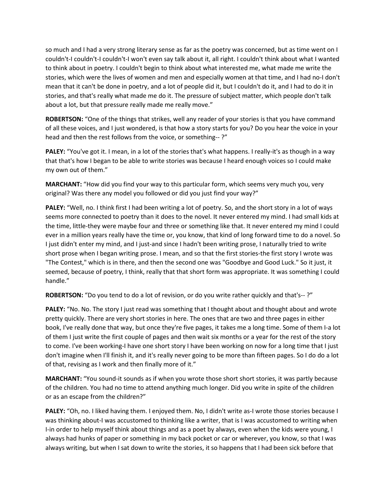so much and I had a very strong literary sense as far as the poetry was concerned, but as time went on I couldn't-I couldn't-I couldn't-I won't even say talk about it, all right. I couldn't think about what I wanted to think about in poetry. I couldn't begin to think about what interested me, what made me write the stories, which were the lives of women and men and especially women at that time, and I had no-I don't mean that it can't be done in poetry, and a lot of people did it, but I couldn't do it, and I had to do it in stories, and that's really what made me do it. The pressure of subject matter, which people don't talk about a lot, but that pressure really made me really move."

**ROBERTSON:** "One of the things that strikes, well any reader of your stories is that you have command of all these voices, and I just wondered, is that how a story starts for you? Do you hear the voice in your head and then the rest follows from the voice, or something--?"

**PALEY:** "You've got it. I mean, in a lot of the stories that's what happens. I really-it's as though in a way that that's how I began to be able to write stories was because I heard enough voices so I could make my own out of them."

**MARCHANT:** "How did you find your way to this particular form, which seems very much you, very original? Was there any model you followed or did you just find your way?"

**PALEY:** "Well, no. I think first I had been writing a lot of poetry. So, and the short story in a lot of ways seems more connected to poetry than it does to the novel. It never entered my mind. I had small kids at the time, little-they were maybe four and three or something like that. It never entered my mind I could ever in a million years really have the time or, you know, that kind of long forward time to do a novel. So I just didn't enter my mind, and I just-and since I hadn't been writing prose, I naturally tried to write short prose when I began writing prose. I mean, and so that the first stories-the first story I wrote was "The Contest," which is in there, and then the second one was "Goodbye and Good Luck." So it just, it seemed, because of poetry, I think, really that that short form was appropriate. It was something I could handle."

**ROBERTSON:** "Do you tend to do a lot of revision, or do you write rather quickly and that's-- ?"

**PALEY:** "No. No. The story I just read was something that I thought about and thought about and wrote pretty quickly. There are very short stories in here. The ones that are two and three pages in either book, I've really done that way, but once they're five pages, it takes me a long time. Some of them I-a lot of them I just write the first couple of pages and then wait six months or a year for the rest of the story to come. I've been working-I have one short story I have been working on now for a long time that I just don't imagine when I'll finish it, and it's really never going to be more than fifteen pages. So I do do a lot of that, revising as I work and then finally more of it."

**MARCHANT:** "You sound-it sounds as if when you wrote those short short stories, it was partly because of the children. You had no time to attend anything much longer. Did you write in spite of the children or as an escape from the children?"

**PALEY:** "Oh, no. I liked having them. I enjoyed them. No, I didn't write as-I wrote those stories because I was thinking about-I was accustomed to thinking like a writer, that is I was accustomed to writing when I-in order to help myself think about things and as a poet by always, even when the kids were young, I always had hunks of paper or something in my back pocket or car or wherever, you know, so that I was always writing, but when I sat down to write the stories, it so happens that I had been sick before that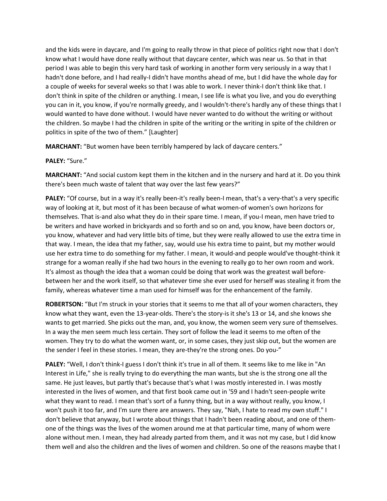and the kids were in daycare, and I'm going to really throw in that piece of politics right now that I don't know what I would have done really without that daycare center, which was near us. So that in that period I was able to begin this very hard task of working in another form very seriously in a way that I hadn't done before, and I had really-I didn't have months ahead of me, but I did have the whole day for a couple of weeks for several weeks so that I was able to work. I never think-I don't think like that. I don't think in spite of the children or anything. I mean, I see life is what you live, and you do everything you can in it, you know, if you're normally greedy, and I wouldn't-there's hardly any of these things that I would wanted to have done without. I would have never wanted to do without the writing or without the children. So maybe I had the children in spite of the writing or the writing in spite of the children or politics in spite of the two of them." [Laughter]

**MARCHANT:** "But women have been terribly hampered by lack of daycare centers."

**PALEY:** "Sure."

**MARCHANT:** "And social custom kept them in the kitchen and in the nursery and hard at it. Do you think there's been much waste of talent that way over the last few years?"

**PALEY:** "Of course, but in a way it's really been-it's really been-I mean, that's a very-that's a very specific way of looking at it, but most of it has been because of what women-of women's own horizons for themselves. That is-and also what they do in their spare time. I mean, if you-I mean, men have tried to be writers and have worked in brickyards and so forth and so on and, you know, have been doctors or, you know, whatever and had very little bits of time, but they were really allowed to use the extra time in that way. I mean, the idea that my father, say, would use his extra time to paint, but my mother would use her extra time to do something for my father. I mean, it would-and people would've thought-think it strange for a woman really if she had two hours in the evening to really go to her own room and work. It's almost as though the idea that a woman could be doing that work was the greatest wall beforebetween her and the work itself, so that whatever time she ever used for herself was stealing it from the family, whereas whatever time a man used for himself was for the enhancement of the family.

**ROBERTSON:** "But I'm struck in your stories that it seems to me that all of your women characters, they know what they want, even the 13-year-olds. There's the story-is it she's 13 or 14, and she knows she wants to get married. She picks out the man, and, you know, the women seem very sure of themselves. In a way the men seem much less certain. They sort of follow the lead it seems to me often of the women. They try to do what the women want, or, in some cases, they just skip out, but the women are the sender I feel in these stories. I mean, they are-they're the strong ones. Do you-"

**PALEY:** "Well, I don't think-I guess I don't think it's true in all of them. It seems like to me like in "An Interest in Life," she is really trying to do everything the man wants, but she is the strong one all the same. He just leaves, but partly that's because that's what I was mostly interested in. I was mostly interested in the lives of women, and that first book came out in '59 and I hadn't seen-people write what they want to read. I mean that's sort of a funny thing, but in a way without really, you know, I won't push it too far, and I'm sure there are answers. They say, "Nah, I hate to read my own stuff." I don't believe that anyway, but I wrote about things that I hadn't been reading about, and one of themone of the things was the lives of the women around me at that particular time, many of whom were alone without men. I mean, they had already parted from them, and it was not my case, but I did know them well and also the children and the lives of women and children. So one of the reasons maybe that I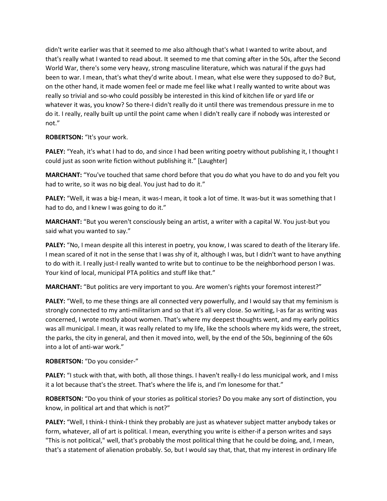didn't write earlier was that it seemed to me also although that's what I wanted to write about, and that's really what I wanted to read about. It seemed to me that coming after in the 50s, after the Second World War, there's some very heavy, strong masculine literature, which was natural if the guys had been to war. I mean, that's what they'd write about. I mean, what else were they supposed to do? But, on the other hand, it made women feel or made me feel like what I really wanted to write about was really so trivial and so-who could possibly be interested in this kind of kitchen life or yard life or whatever it was, you know? So there-I didn't really do it until there was tremendous pressure in me to do it. I really, really built up until the point came when I didn't really care if nobody was interested or not."

## **ROBERTSON:** "It's your work.

**PALEY:** "Yeah, it's what I had to do, and since I had been writing poetry without publishing it, I thought I could just as soon write fiction without publishing it." [Laughter]

**MARCHANT:** "You've touched that same chord before that you do what you have to do and you felt you had to write, so it was no big deal. You just had to do it."

**PALEY:** "Well, it was a big-I mean, it was-I mean, it took a lot of time. It was-but it was something that I had to do, and I knew I was going to do it."

**MARCHANT:** "But you weren't consciously being an artist, a writer with a capital W. You just-but you said what you wanted to say."

**PALEY:** "No, I mean despite all this interest in poetry, you know, I was scared to death of the literary life. I mean scared of it not in the sense that I was shy of it, although I was, but I didn't want to have anything to do with it. I really just-I really wanted to write but to continue to be the neighborhood person I was. Your kind of local, municipal PTA politics and stuff like that."

**MARCHANT:** "But politics are very important to you. Are women's rights your foremost interest?"

**PALEY:** "Well, to me these things are all connected very powerfully, and I would say that my feminism is strongly connected to my anti-militarism and so that it's all very close. So writing, I-as far as writing was concerned, I wrote mostly about women. That's where my deepest thoughts went, and my early politics was all municipal. I mean, it was really related to my life, like the schools where my kids were, the street, the parks, the city in general, and then it moved into, well, by the end of the 50s, beginning of the 60s into a lot of anti-war work."

## **ROBERTSON:** "Do you consider-"

PALEY: "I stuck with that, with both, all those things. I haven't really-I do less municipal work, and I miss it a lot because that's the street. That's where the life is, and I'm lonesome for that."

**ROBERTSON:** "Do you think of your stories as political stories? Do you make any sort of distinction, you know, in political art and that which is not?"

**PALEY:** "Well, I think-I think-I think they probably are just as whatever subject matter anybody takes or form, whatever, all of art is political. I mean, everything you write is either-if a person writes and says "This is not political," well, that's probably the most political thing that he could be doing, and, I mean, that's a statement of alienation probably. So, but I would say that, that, that my interest in ordinary life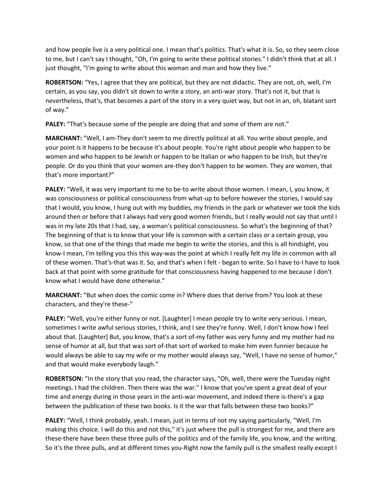and how people live is a very political one. I mean that's politics. That's what it is. So, so they seem close to me, but I can't say I thought, "Oh, I'm going to write these political stories." I didn't think that at all. I just thought, "I'm going to write about this woman and man and how they live."

**ROBERTSON:** "Yes, I agree that they are political, but they are not didactic. They are not, oh, well, I'm certain, as you say, you didn't sit down to write a story, an anti-war story. That's not it, but that is nevertheless, that's, that becomes a part of the story in a very quiet way, but not in an, oh, blatant sort of way."

**PALEY:** "That's because some of the people are doing that and some of them are not."

**MARCHANT:** "Well, I am-They don't seem to me directly political at all. You write about people, and your point is it happens to be because it's about people. You're right about people who happen to be women and who happen to be Jewish or happen to be Italian or who happen to be Irish, but they're people. Or do you think that your women are-they don't happen to be women. They are women, that that's more important?"

**PALEY:** "Well, it was very important to me to be-to write about those women. I mean, I, you know, it was consciousness or political consciousness from what-up to before however the stories, I would say that I would, you know, I hung out with my buddies, my friends in the park or whatever we took the kids around then or before that I always had very good women friends, but I really would not say that until I was in my late 20s that I had, say, a woman's political consciousness. So what's the beginning of that? The beginning of that is to know that your life is common with a certain class or a certain group, you know, so that one of the things that made me begin to write the stories, and this is all hindsight, you know-I mean, I'm telling you this this way-was the point at which I really felt my life in common with all of these women. That's-that was it. So, and that's when I felt - began to write. So I have to-I have to look back at that point with some gratitude for that consciousness having happened to me because I don't know what I would have done otherwise."

**MARCHANT:** "But when does the comic come in? Where does that derive from? You look at these characters, and they're these-"

**PALEY:** "Well, you're either funny or not. [Laughter] I mean people try to write very serious. I mean, sometimes I write awful serious stories, I think, and I see they're funny. Well, I don't know how I feel about that. [Laughter] But, you know, that's a sort of-my father was very funny and my mother had no sense of humor at all, but that was sort of-that sort of worked to make him even funnier because he would always be able to say my wife or my mother would always say, "Well, I have no sense of humor," and that would make everybody laugh."

**ROBERTSON:** "In the story that you read, the character says, "Oh, well, there were the Tuesday night meetings. I had the children. Then there was the war." I know that you've spent a great deal of your time and energy during in those years in the anti-war movement, and indeed there is-there's a gap between the publication of these two books. Is it the war that falls between these two books?"

**PALEY:** "Well, I think probably, yeah. I mean, just in terms of not my saying particularly, "Well, I'm making this choice. I will do this and not this," it's just where the pull is strongest for me, and there are these-there have been these three pulls of the politics and of the family life, you know, and the writing. So it's the three pulls, and at different times you-Right now the family pull is the smallest really except I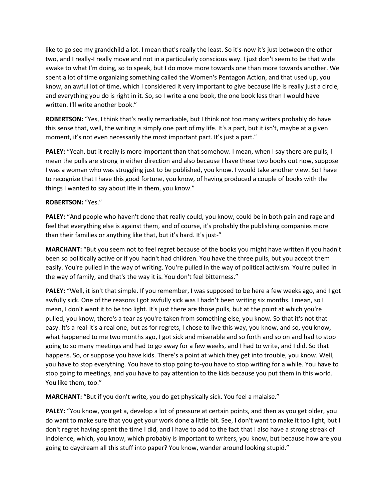like to go see my grandchild a lot. I mean that's really the least. So it's-now it's just between the other two, and I really-I really move and not in a particularly conscious way. I just don't seem to be that wide awake to what I'm doing, so to speak, but I do move more towards one than more towards another. We spent a lot of time organizing something called the Women's Pentagon Action, and that used up, you know, an awful lot of time, which I considered it very important to give because life is really just a circle, and everything you do is right in it. So, so I write a one book, the one book less than I would have written. I'll write another book."

**ROBERTSON:** "Yes, I think that's really remarkable, but I think not too many writers probably do have this sense that, well, the writing is simply one part of my life. It's a part, but it isn't, maybe at a given moment, it's not even necessarily the most important part. It's just a part."

**PALEY:** "Yeah, but it really is more important than that somehow. I mean, when I say there are pulls, I mean the pulls are strong in either direction and also because I have these two books out now, suppose I was a woman who was struggling just to be published, you know. I would take another view. So I have to recognize that I have this good fortune, you know, of having produced a couple of books with the things I wanted to say about life in them, you know."

## **ROBERTSON:** "Yes."

**PALEY:** "And people who haven't done that really could, you know, could be in both pain and rage and feel that everything else is against them, and of course, it's probably the publishing companies more than their families or anything like that, but it's hard. It's just-"

**MARCHANT:** "But you seem not to feel regret because of the books you might have written if you hadn't been so politically active or if you hadn't had children. You have the three pulls, but you accept them easily. You're pulled in the way of writing. You're pulled in the way of political activism. You're pulled in the way of family, and that's the way it is. You don't feel bitterness."

**PALEY:** "Well, it isn't that simple. If you remember, I was supposed to be here a few weeks ago, and I got awfully sick. One of the reasons I got awfully sick was I hadn't been writing six months. I mean, so I mean, I don't want it to be too light. It's just there are those pulls, but at the point at which you're pulled, you know, there's a tear as you're taken from something else, you know. So that it's not that easy. It's a real-it's a real one, but as for regrets, I chose to live this way, you know, and so, you know, what happened to me two months ago, I got sick and miserable and so forth and so on and had to stop going to so many meetings and had to go away for a few weeks, and I had to write, and I did. So that happens. So, or suppose you have kids. There's a point at which they get into trouble, you know. Well, you have to stop everything. You have to stop going to-you have to stop writing for a while. You have to stop going to meetings, and you have to pay attention to the kids because you put them in this world. You like them, too."

**MARCHANT:** "But if you don't write, you do get physically sick. You feel a malaise."

**PALEY:** "You know, you get a, develop a lot of pressure at certain points, and then as you get older, you do want to make sure that you get your work done a little bit. See, I don't want to make it too light, but I don't regret having spent the time I did, and I have to add to the fact that I also have a strong streak of indolence, which, you know, which probably is important to writers, you know, but because how are you going to daydream all this stuff into paper? You know, wander around looking stupid."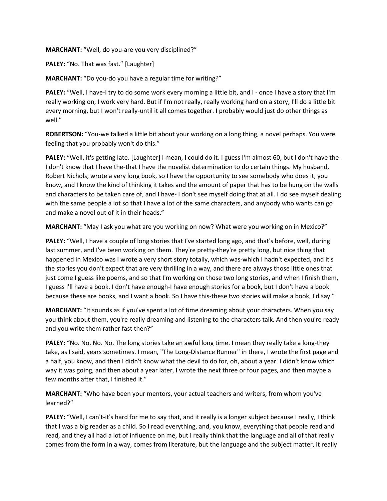**MARCHANT:** "Well, do you-are you very disciplined?"

**PALEY:** "No. That was fast." [Laughter]

**MARCHANT:** "Do you-do you have a regular time for writing?"

**PALEY:** "Well, I have-I try to do some work every morning a little bit, and I - once I have a story that I'm really working on, I work very hard. But if I'm not really, really working hard on a story, I'll do a little bit every morning, but I won't really-until it all comes together. I probably would just do other things as well."

**ROBERTSON:** "You-we talked a little bit about your working on a long thing, a novel perhaps. You were feeling that you probably won't do this."

**PALEY:** "Well, it's getting late. [Laughter] I mean, I could do it. I guess I'm almost 60, but I don't have the-I don't know that I have the-that I have the novelist determination to do certain things. My husband, Robert Nichols, wrote a very long book, so I have the opportunity to see somebody who does it, you know, and I know the kind of thinking it takes and the amount of paper that has to be hung on the walls and characters to be taken care of, and I have- I don't see myself doing that at all. I do see myself dealing with the same people a lot so that I have a lot of the same characters, and anybody who wants can go and make a novel out of it in their heads."

**MARCHANT:** "May I ask you what are you working on now? What were you working on in Mexico?"

**PALEY:** "Well, I have a couple of long stories that I've started long ago, and that's before, well, during last summer, and I've been working on them. They're pretty-they're pretty long, but nice thing that happened in Mexico was I wrote a very short story totally, which was-which I hadn't expected, and it's the stories you don't expect that are very thrilling in a way, and there are always those little ones that just come I guess like poems, and so that I'm working on those two long stories, and when I finish them, I guess I'll have a book. I don't have enough-I have enough stories for a book, but I don't have a book because these are books, and I want a book. So I have this-these two stories will make a book, I'd say."

**MARCHANT:** "It sounds as if you've spent a lot of time dreaming about your characters. When you say you think about them, you're really dreaming and listening to the characters talk. And then you're ready and you write them rather fast then?"

**PALEY:** "No. No. No. No. The long stories take an awful long time. I mean they really take a long-they take, as I said, years sometimes. I mean, "The Long-Distance Runner" in there, I wrote the first page and a half, you know, and then I didn't know what the devil to do for, oh, about a year. I didn't know which way it was going, and then about a year later, I wrote the next three or four pages, and then maybe a few months after that, I finished it."

**MARCHANT:** "Who have been your mentors, your actual teachers and writers, from whom you've learned?"

**PALEY:** "Well, I can't-it's hard for me to say that, and it really is a longer subject because I really, I think that I was a big reader as a child. So I read everything, and, you know, everything that people read and read, and they all had a lot of influence on me, but I really think that the language and all of that really comes from the form in a way, comes from literature, but the language and the subject matter, it really